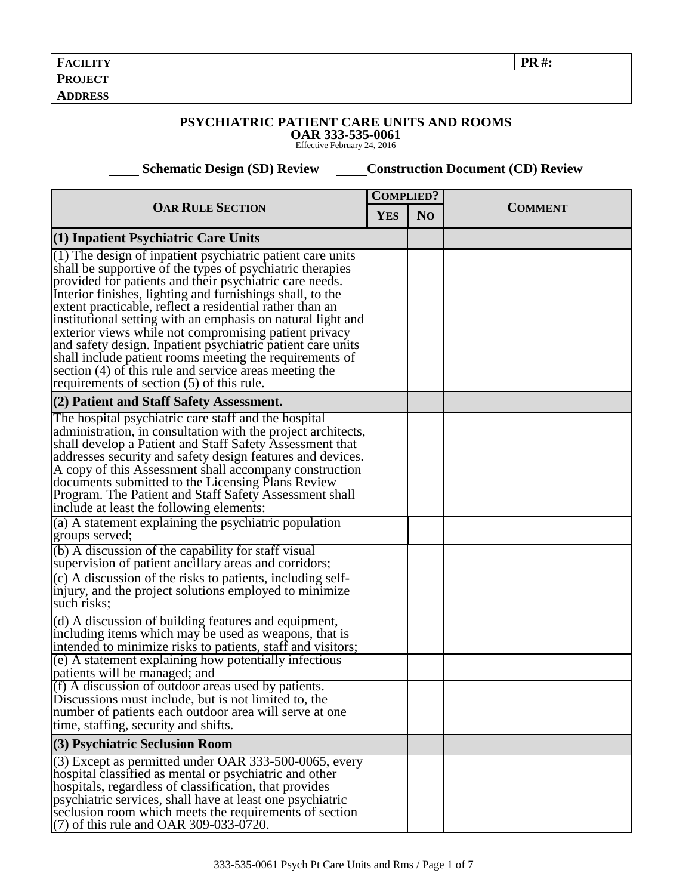| <b>FACILITY</b> | <b>PR#:</b> |  |
|-----------------|-------------|--|
| <b>PROJECT</b>  |             |  |
| <b>ADDRESS</b>  |             |  |

## **PSYCHIATRIC PATIENT CARE UNITS AND ROOMS**

**OAR 333-535-0061** Effective February 24, 2016

 **Schematic Design (SD) Review Construction Document (CD) Review** 

| <b>OAR RULE SECTION</b>                                                                                                                                                                                                                                                                                                                                                                                                                                                                                                                                                                                                                                                                                                      |  | <b>COMPLIED?</b> |                |
|------------------------------------------------------------------------------------------------------------------------------------------------------------------------------------------------------------------------------------------------------------------------------------------------------------------------------------------------------------------------------------------------------------------------------------------------------------------------------------------------------------------------------------------------------------------------------------------------------------------------------------------------------------------------------------------------------------------------------|--|------------------|----------------|
|                                                                                                                                                                                                                                                                                                                                                                                                                                                                                                                                                                                                                                                                                                                              |  | N <sub>O</sub>   | <b>COMMENT</b> |
| $(1)$ Inpatient Psychiatric Care Units                                                                                                                                                                                                                                                                                                                                                                                                                                                                                                                                                                                                                                                                                       |  |                  |                |
| (1) The design of inpatient psychiatric patient care units<br>shall be supportive of the types of psychiatric therapies<br>provided for patients and their psychiatric care needs.<br>Interior finishes, lighting and furnishings shall, to the<br>extent practicable, reflect a residential rather than an<br>institutional setting with an emphasis on natural light and<br>exterior views while not compromising patient privacy<br>and safety design. Inpatient psychiatric patient care units<br>shall include patient rooms meeting the requirements of<br>section (4) of this rule and service areas meeting the<br>requirements of section (5) of this rule.                                                         |  |                  |                |
| (2) Patient and Staff Safety Assessment.                                                                                                                                                                                                                                                                                                                                                                                                                                                                                                                                                                                                                                                                                     |  |                  |                |
| The hospital psychiatric care staff and the hospital<br>administration, in consultation with the project architects,<br>shall develop a Patient and Staff Safety Assessment that<br>addresses security and safety design features and devices.<br>A copy of this Assessment shall accompany construction<br>documents submitted to the Licensing Plans Review<br>Program. The Patient and Staff Safety Assessment shall<br>include at least the following elements:<br>(a) A statement explaining the psychiatric population<br>groups served;<br>(b) A discussion of the capability for staff visual<br>supervision of patient ancillary areas and corridors;<br>(c) A discussion of the risks to patients, including self- |  |                  |                |
| injury, and the project solutions employed to minimize<br>such risks;                                                                                                                                                                                                                                                                                                                                                                                                                                                                                                                                                                                                                                                        |  |                  |                |
| (d) A discussion of building features and equipment,<br>including items which may be used as weapons, that is<br>intended to minimize risks to patients, staff and visitors;                                                                                                                                                                                                                                                                                                                                                                                                                                                                                                                                                 |  |                  |                |
| (e) A statement explaining how potentially infectious<br>patients will be managed; and                                                                                                                                                                                                                                                                                                                                                                                                                                                                                                                                                                                                                                       |  |                  |                |
| (f) A discussion of outdoor areas used by patients.<br>Discussions must include, but is not limited to, the<br>number of patients each outdoor area will serve at one<br>time, staffing, security and shifts.                                                                                                                                                                                                                                                                                                                                                                                                                                                                                                                |  |                  |                |
| (3) Psychiatric Seclusion Room                                                                                                                                                                                                                                                                                                                                                                                                                                                                                                                                                                                                                                                                                               |  |                  |                |
| (3) Except as permitted under OAR 333-500-0065, every<br>hospital classified as mental or psychiatric and other<br>hospitals, regardless of classification, that provides<br>psychiatric services, shall have at least one psychiatric<br>seclusion room which meets the requirements of section<br>(7) of this rule and OAR 309-033-0720.                                                                                                                                                                                                                                                                                                                                                                                   |  |                  |                |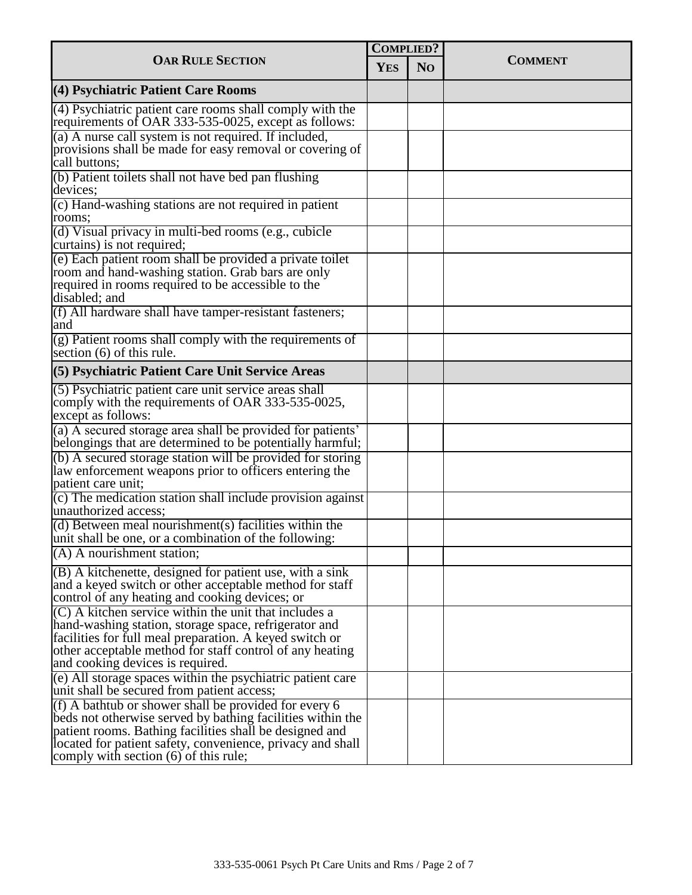| <b>OAR RULE SECTION</b>                                                                                                                                                                                                                                                               |  | <b>COMPLIED?</b> |                |
|---------------------------------------------------------------------------------------------------------------------------------------------------------------------------------------------------------------------------------------------------------------------------------------|--|------------------|----------------|
|                                                                                                                                                                                                                                                                                       |  | N <sub>O</sub>   | <b>COMMENT</b> |
| (4) Psychiatric Patient Care Rooms                                                                                                                                                                                                                                                    |  |                  |                |
| $(4)$ Psychiatric patient care rooms shall comply with the<br>requirements of OAR 333-535-0025, except as follows:                                                                                                                                                                    |  |                  |                |
| (a) A nurse call system is not required. If included,<br>provisions shall be made for easy removal or covering of<br>call buttons;                                                                                                                                                    |  |                  |                |
| (b) Patient toilets shall not have bed pan flushing<br>devices;                                                                                                                                                                                                                       |  |                  |                |
| (c) Hand-washing stations are not required in patient<br>rooms;                                                                                                                                                                                                                       |  |                  |                |
| $\overline{d}$ ) Visual privacy in multi-bed rooms (e.g., cubicle<br>curtains) is not required;                                                                                                                                                                                       |  |                  |                |
| (e) Each patient room shall be provided a private toilet<br>room and hand-washing station. Grab bars are only<br>required in rooms required to be accessible to the<br>disabled; and                                                                                                  |  |                  |                |
| (f) All hardware shall have tamper-resistant fasteners;<br>and                                                                                                                                                                                                                        |  |                  |                |
| (g) Patient rooms shall comply with the requirements of<br>section $(6)$ of this rule.                                                                                                                                                                                                |  |                  |                |
| (5) Psychiatric Patient Care Unit Service Areas                                                                                                                                                                                                                                       |  |                  |                |
| (5) Psychiatric patient care unit service areas shall<br>comply with the requirements of OAR 333-535-0025,<br>except as follows:                                                                                                                                                      |  |                  |                |
| (a) A secured storage area shall be provided for patients'<br>belongings that are determined to be potentially harmful;                                                                                                                                                               |  |                  |                |
| (b) A secured storage station will be provided for storing<br>law enforcement weapons prior to officers entering the<br>patient care unit;                                                                                                                                            |  |                  |                |
| (c) The medication station shall include provision against<br>unauthorized access:                                                                                                                                                                                                    |  |                  |                |
| (d) Between meal nourishment(s) facilities within the<br>unit shall be one, or a combination of the following:                                                                                                                                                                        |  |                  |                |
| $(A)$ A nourishment station;                                                                                                                                                                                                                                                          |  |                  |                |
| $(B)$ A kitchenette, designed for patient use, with a sink<br>and a keyed switch or other acceptable method for staff<br>control of any heating and cooking devices; or                                                                                                               |  |                  |                |
| (C) A kitchen service within the unit that includes a<br>hand-washing station, storage space, refrigerator and<br>facilities for full meal preparation. A keyed switch or<br>other acceptable method for staff control of any heating<br>and cooking devices is required.             |  |                  |                |
| (e) All storage spaces within the psychiatric patient care<br>unit shall be secured from patient access;                                                                                                                                                                              |  |                  |                |
| (f) A bathtub or shower shall be provided for every 6<br>beds not otherwise served by bathing facilities within the<br>patient rooms. Bathing facilities shall be designed and<br>located for patient safety, convenience, privacy and shall<br>comply with section (6) of this rule; |  |                  |                |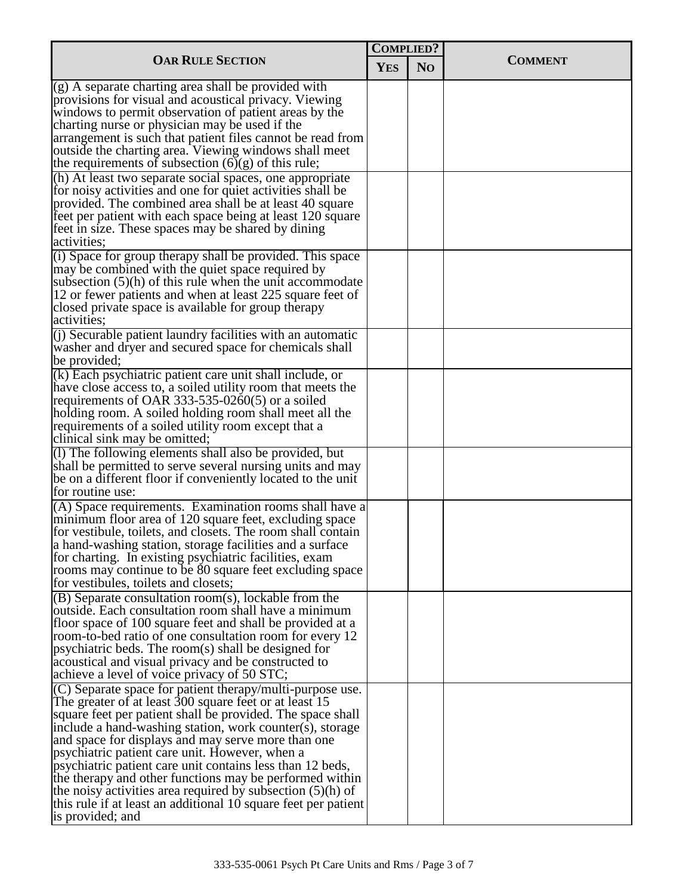| <b>OAR RULE SECTION</b>                                                                                                                                                                                                                                                                                                                                                                                                                                                                                                                                                                                                               |  | <b>COMPLIED?</b> |                |
|---------------------------------------------------------------------------------------------------------------------------------------------------------------------------------------------------------------------------------------------------------------------------------------------------------------------------------------------------------------------------------------------------------------------------------------------------------------------------------------------------------------------------------------------------------------------------------------------------------------------------------------|--|------------------|----------------|
|                                                                                                                                                                                                                                                                                                                                                                                                                                                                                                                                                                                                                                       |  | N <sub>O</sub>   | <b>COMMENT</b> |
| $(g)$ A separate charting area shall be provided with<br>provisions for visual and acoustical privacy. Viewing<br>windows to permit observation of patient areas by the<br>charting nurse or physician may be used if the                                                                                                                                                                                                                                                                                                                                                                                                             |  |                  |                |
| arrangement is such that patient files cannot be read from<br>outside the charting area. Viewing windows shall meet<br>the requirements of subsection $(6)(g)$ of this rule;                                                                                                                                                                                                                                                                                                                                                                                                                                                          |  |                  |                |
| (h) At least two separate social spaces, one appropriate<br>for noisy activities and one for quiet activities shall be<br>provided. The combined area shall be at least 40 square<br>feet per patient with each space being at least 120 square<br>feet in size. These spaces may be shared by dining<br>activities;                                                                                                                                                                                                                                                                                                                  |  |                  |                |
| (i) Space for group therapy shall be provided. This space<br>may be combined with the quiet space required by<br>subsection $(5)(h)$ of this rule when the unit accommodate<br>12 or fewer patients and when at least 225 square feet of<br>closed private space is available for group therapy<br>activities;                                                                                                                                                                                                                                                                                                                        |  |                  |                |
| (i) Securable patient laundry facilities with an automatic<br>washer and dryer and secured space for chemicals shall<br>be provided;                                                                                                                                                                                                                                                                                                                                                                                                                                                                                                  |  |                  |                |
| $(k)$ Each psychiatric patient care unit shall include, or<br>have close access to, a soiled utility room that meets the<br>requirements of OAR 333-535-0260(5) or a soiled<br>holding room. A soiled holding room shall meet all the<br>requirements of a soiled utility room except that a<br>clinical sink may be omitted;                                                                                                                                                                                                                                                                                                         |  |                  |                |
| $(1)$ The following elements shall also be provided, but<br>shall be permitted to serve several nursing units and may<br>be on a different floor if conveniently located to the unit<br>for routine use:                                                                                                                                                                                                                                                                                                                                                                                                                              |  |                  |                |
| $(A)$ Space requirements. Examination rooms shall have a<br>minimum floor area of 120 square feet, excluding space<br>for vestibule, toilets, and closets. The room shall contain<br>a hand-washing station, storage facilities and a surface<br>for charting. In existing psychiatric facilities, exam<br>rooms may continue to be 80 square feet excluding space<br>for vestibules, toilets and closets;                                                                                                                                                                                                                            |  |                  |                |
| $(B)$ Separate consultation room(s), lockable from the<br>outside. Each consultation room shall have a minimum<br>floor space of 100 square feet and shall be provided at a<br>room-to-bed ratio of one consultation room for every 12<br>psychiatric beds. The room(s) shall be designed for<br>acoustical and visual privacy and be constructed to<br>achieve a level of voice privacy of 50 STC;                                                                                                                                                                                                                                   |  |                  |                |
| $(C)$ Separate space for patient therapy/multi-purpose use.<br>The greater of at least 300 square feet or at least 15<br>square feet per patient shall be provided. The space shall<br>include a hand-washing station, work counter(s), storage<br>and space for displays and may serve more than one<br>psychiatric patient care unit. However, when a<br>psychiatric patient care unit contains less than 12 beds,<br>the therapy and other functions may be performed within<br>the noisy activities area required by subsection $(5)(h)$ of<br>this rule if at least an additional 10 square feet per patient<br>is provided; and |  |                  |                |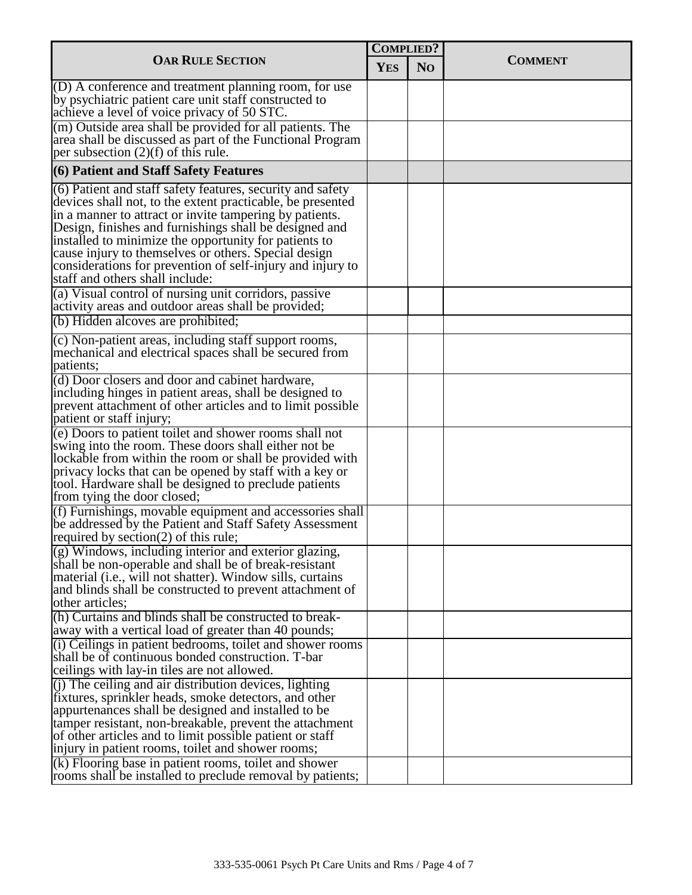| <b>OAR RULE SECTION</b>                                                                                                                                                                                                                                                                                                                                                                                                                                                      |  | <b>COMPLIED?</b> |                |
|------------------------------------------------------------------------------------------------------------------------------------------------------------------------------------------------------------------------------------------------------------------------------------------------------------------------------------------------------------------------------------------------------------------------------------------------------------------------------|--|------------------|----------------|
|                                                                                                                                                                                                                                                                                                                                                                                                                                                                              |  | N <sub>O</sub>   | <b>COMMENT</b> |
| $(0)$ A conference and treatment planning room, for use<br>by psychiatric patient care unit staff constructed to<br>achieve a level of voice privacy of 50 STC.                                                                                                                                                                                                                                                                                                              |  |                  |                |
| (m) Outside area shall be provided for all patients. The<br>area shall be discussed as part of the Functional Program<br>per subsection $(2)(f)$ of this rule.                                                                                                                                                                                                                                                                                                               |  |                  |                |
| (6) Patient and Staff Safety Features                                                                                                                                                                                                                                                                                                                                                                                                                                        |  |                  |                |
| $(6)$ Patient and staff safety features, security and safety<br>devices shall not, to the extent practicable, be presented<br>in a manner to attract or invite tampering by patients.<br>Design, finishes and furnishings shall be designed and<br>installed to minimize the opportunity for patients to<br>cause injury to themselves or others. Special design<br>considerations for prevention of self-injury and injury to<br>staff and others shall include:            |  |                  |                |
| (a) Visual control of nursing unit corridors, passive<br>activity areas and outdoor areas shall be provided;                                                                                                                                                                                                                                                                                                                                                                 |  |                  |                |
| (b) Hidden alcoves are prohibited;                                                                                                                                                                                                                                                                                                                                                                                                                                           |  |                  |                |
| (c) Non-patient areas, including staff support rooms,<br>mechanical and electrical spaces shall be secured from<br>patients;                                                                                                                                                                                                                                                                                                                                                 |  |                  |                |
| (d) Door closers and door and cabinet hardware,<br>including hinges in patient areas, shall be designed to<br>prevent attachment of other articles and to limit possible<br>patient or staff injury;                                                                                                                                                                                                                                                                         |  |                  |                |
| (e) Doors to patient toilet and shower rooms shall not<br>swing into the room. These doors shall either not be<br>lockable from within the room or shall be provided with<br>privacy locks that can be opened by staff with a key or<br>tool. Hardware shall be designed to preclude patients<br>from tying the door closed;                                                                                                                                                 |  |                  |                |
| $( f )$ Furnishings, movable equipment and accessories shall<br>be addressed by the Patient and Staff Safety Assessment<br>required by section $(2)$ of this rule;                                                                                                                                                                                                                                                                                                           |  |                  |                |
| (g) Windows, including interior and exterior glazing,<br>shall be non-operable and shall be of break-resistant<br>material (i.e., will not shatter). Window sills, curtains<br>and blinds shall be constructed to prevent attachment of<br>other articles;                                                                                                                                                                                                                   |  |                  |                |
| (h) Curtains and blinds shall be constructed to break-<br>away with a vertical load of greater than 40 pounds;                                                                                                                                                                                                                                                                                                                                                               |  |                  |                |
| (i) Ceilings in patient bedrooms, toilet and shower rooms<br>shall be of continuous bonded construction. T-bar<br>ceilings with lay-in tiles are not allowed.                                                                                                                                                                                                                                                                                                                |  |                  |                |
| $(i)$ The ceiling and air distribution devices, lighting<br>fixtures, sprinkler heads, smoke detectors, and other<br>appurtenances shall be designed and installed to be<br>tamper resistant, non-breakable, prevent the attachment<br>of other articles and to limit possible patient or staff<br>injury in patient rooms, toilet and shower rooms;<br>$(k)$ Flooring base in patient rooms, toilet and shower<br>rooms shall be installed to preclude removal by patients; |  |                  |                |
|                                                                                                                                                                                                                                                                                                                                                                                                                                                                              |  |                  |                |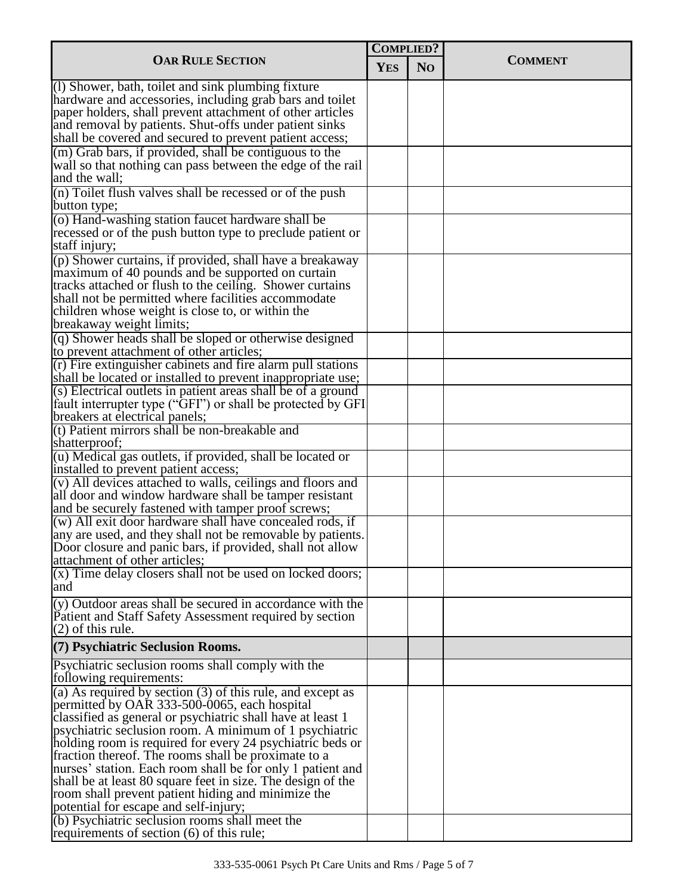| <b>OAR RULE SECTION</b>                                                                                                               |  | <b>COMPLIED?</b> |                |
|---------------------------------------------------------------------------------------------------------------------------------------|--|------------------|----------------|
|                                                                                                                                       |  | N <sub>O</sub>   | <b>COMMENT</b> |
| (1) Shower, bath, toilet and sink plumbing fixture<br>hardware and accessories, including grab bars and toilet                        |  |                  |                |
| paper holders, shall prevent attachment of other articles<br>and removal by patients. Shut-offs under patient sinks                   |  |                  |                |
| shall be covered and secured to prevent patient access;                                                                               |  |                  |                |
| (m) Grab bars, if provided, shall be contiguous to the<br>wall so that nothing can pass between the edge of the rail<br>and the wall; |  |                  |                |
| (n) Toilet flush valves shall be recessed or of the push<br>button type;                                                              |  |                  |                |
| (o) Hand-washing station faucet hardware shall be<br>recessed or of the push button type to preclude patient or<br>staff injury;      |  |                  |                |
| $(p)$ Shower curtains, if provided, shall have a breakaway                                                                            |  |                  |                |
| maximum of 40 pounds and be supported on curtain<br>tracks attached or flush to the ceiling. Shower curtains                          |  |                  |                |
| shall not be permitted where facilities accommodate<br>children whose weight is close to, or within the                               |  |                  |                |
| breakaway weight limits;                                                                                                              |  |                  |                |
| (q) Shower heads shall be sloped or otherwise designed<br>to prevent attachment of other articles;                                    |  |                  |                |
| (r) Fire extinguisher cabinets and fire alarm pull stations                                                                           |  |                  |                |
| shall be located or installed to prevent inappropriate use;                                                                           |  |                  |                |
| (s) Electrical outlets in patient areas shall be of a ground                                                                          |  |                  |                |
| fault interrupter type ("GFI") or shall be protected by GFI                                                                           |  |                  |                |
| breakers at electrical panels;<br>(t) Patient mirrors shall be non-breakable and                                                      |  |                  |                |
| shatterproof;                                                                                                                         |  |                  |                |
| (u) Medical gas outlets, if provided, shall be located or                                                                             |  |                  |                |
| installed to prevent patient access;                                                                                                  |  |                  |                |
| (v) All devices attached to walls, ceilings and floors and<br>all door and window hardware shall be tamper resistant                  |  |                  |                |
| and be securely fastened with tamper proof screws;<br>(w) All exit door hardware shall have concealed rods, if                        |  |                  |                |
| any are used, and they shall not be removable by patients.                                                                            |  |                  |                |
| Door closure and panic bars, if provided, shall not allow                                                                             |  |                  |                |
| attachment of other articles;                                                                                                         |  |                  |                |
| $(x)$ Time delay closers shall not be used on locked doors;<br>and                                                                    |  |                  |                |
| $(v)$ Outdoor areas shall be secured in accordance with the                                                                           |  |                  |                |
| Patient and Staff Safety Assessment required by section<br>$(2)$ of this rule.                                                        |  |                  |                |
| (7) Psychiatric Seclusion Rooms.                                                                                                      |  |                  |                |
| Psychiatric seclusion rooms shall comply with the<br>following requirements:                                                          |  |                  |                |
| (a) As required by section $(3)$ of this rule, and except as<br>permitted by OAR 333-500-0065, each hospital                          |  |                  |                |
| classified as general or psychiatric shall have at least 1                                                                            |  |                  |                |
| psychiatric seclusion room. A minimum of 1 psychiatric                                                                                |  |                  |                |
| holding room is required for every 24 psychiatric beds or<br>fraction thereof. The rooms shall be proximate to a                      |  |                  |                |
| nurses' station. Each room shall be for only 1 patient and                                                                            |  |                  |                |
| shall be at least 80 square feet in size. The design of the                                                                           |  |                  |                |
| room shall prevent patient hiding and minimize the                                                                                    |  |                  |                |
| potential for escape and self-injury;                                                                                                 |  |                  |                |
| (b) Psychiatric seclusion rooms shall meet the<br>requirements of section (6) of this rule;                                           |  |                  |                |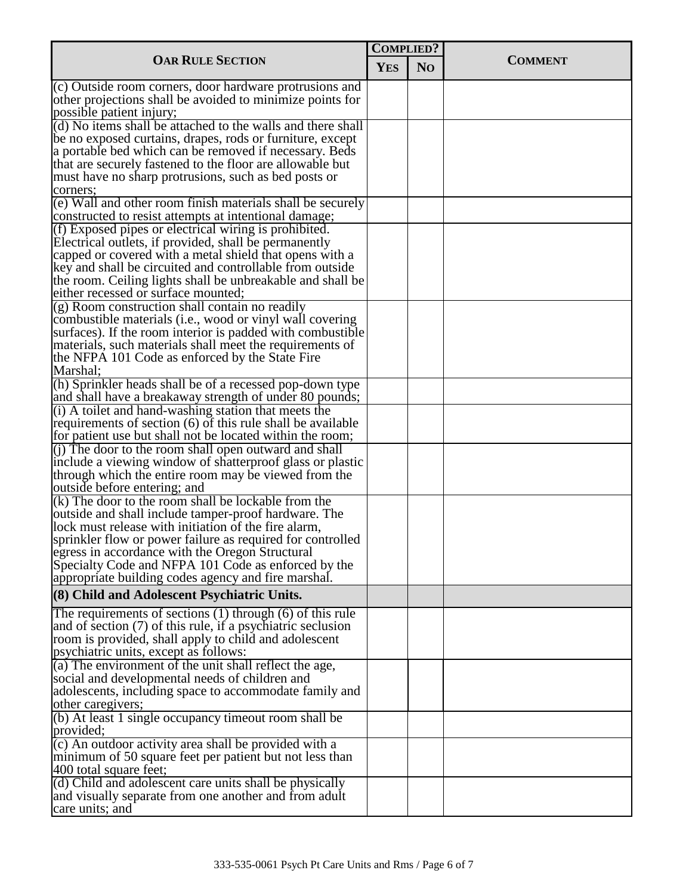| <b>OAR RULE SECTION</b>                                                                                                |  | <b>COMPLIED?</b> |                |
|------------------------------------------------------------------------------------------------------------------------|--|------------------|----------------|
|                                                                                                                        |  | N <sub>O</sub>   | <b>COMMENT</b> |
| (c) Outside room corners, door hardware protrusions and                                                                |  |                  |                |
| other projections shall be avoided to minimize points for                                                              |  |                  |                |
| possible patient injury;                                                                                               |  |                  |                |
| (d) No items shall be attached to the walls and there shall                                                            |  |                  |                |
| be no exposed curtains, drapes, rods or furniture, except                                                              |  |                  |                |
| a portable bed which can be removed if necessary. Beds<br>that are securely fastened to the floor are allowable but    |  |                  |                |
| must have no sharp protrusions, such as bed posts or                                                                   |  |                  |                |
| corners:                                                                                                               |  |                  |                |
| (e) Wall and other room finish materials shall be securely                                                             |  |                  |                |
| constructed to resist attempts at intentional damage;                                                                  |  |                  |                |
| (f) Exposed pipes or electrical wiring is prohibited.                                                                  |  |                  |                |
| Electrical outlets, if provided, shall be permanently                                                                  |  |                  |                |
| capped or covered with a metal shield that opens with a                                                                |  |                  |                |
| key and shall be circuited and controllable from outside                                                               |  |                  |                |
| the room. Ceiling lights shall be unbreakable and shall be                                                             |  |                  |                |
| either recessed or surface mounted;                                                                                    |  |                  |                |
| (g) Room construction shall contain no readily                                                                         |  |                  |                |
| combustible materials (i.e., wood or vinyl wall covering                                                               |  |                  |                |
| surfaces). If the room interior is padded with combustible<br>materials, such materials shall meet the requirements of |  |                  |                |
| the NFPA 101 Code as enforced by the State Fire                                                                        |  |                  |                |
| Marshal;                                                                                                               |  |                  |                |
| (h) Sprinkler heads shall be of a recessed pop-down type                                                               |  |                  |                |
| and shall have a breakaway strength of under 80 pounds;                                                                |  |                  |                |
| (i) A toilet and hand-washing station that meets the                                                                   |  |                  |                |
| requirements of section (6) of this rule shall be available                                                            |  |                  |                |
| for patient use but shall not be located within the room;                                                              |  |                  |                |
| $(i)$ The door to the room shall open outward and shall                                                                |  |                  |                |
| include a viewing window of shatterproof glass or plastic                                                              |  |                  |                |
| through which the entire room may be viewed from the                                                                   |  |                  |                |
| outside before entering; and<br>$(k)$ The door to the room shall be lockable from the                                  |  |                  |                |
| outside and shall include tamper-proof hardware. The                                                                   |  |                  |                |
| lock must release with initiation of the fire alarm,                                                                   |  |                  |                |
| sprinkler flow or power failure as required for controlled                                                             |  |                  |                |
| egress in accordance with the Oregon Structural                                                                        |  |                  |                |
| Specialty Code and NFPA 101 Code as enforced by the                                                                    |  |                  |                |
| appropriate building codes agency and fire marshal.                                                                    |  |                  |                |
| (8) Child and Adolescent Psychiatric Units.                                                                            |  |                  |                |
| The requirements of sections $(1)$ through $(6)$ of this rule                                                          |  |                  |                |
| and of section (7) of this rule, if a psychiatric seclusion                                                            |  |                  |                |
| room is provided, shall apply to child and adolescent                                                                  |  |                  |                |
| psychiatric units, except as follows:                                                                                  |  |                  |                |
| (a) The environment of the unit shall reflect the age,                                                                 |  |                  |                |
| social and developmental needs of children and                                                                         |  |                  |                |
| adolescents, including space to accommodate family and<br>other caregivers;                                            |  |                  |                |
| (b) At least 1 single occupancy time out room shall be                                                                 |  |                  |                |
| provided;                                                                                                              |  |                  |                |
| (c) An outdoor activity area shall be provided with a                                                                  |  |                  |                |
| minimum of 50 square feet per patient but not less than                                                                |  |                  |                |
| 400 total square feet;                                                                                                 |  |                  |                |
| (d) Child and adolescent care units shall be physically                                                                |  |                  |                |
| and visually separate from one another and from adult                                                                  |  |                  |                |
| care units; and                                                                                                        |  |                  |                |